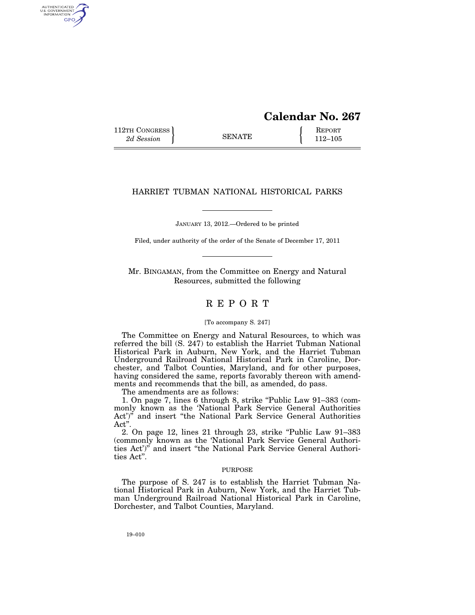# **Calendar No. 267**

112TH CONGRESS **REPORT** 2d Session **112–105** 

AUTHENTICATED<br>U.S. GOVERNMENT<br>INFORMATION GPO

## HARRIET TUBMAN NATIONAL HISTORICAL PARKS

JANUARY 13, 2012.—Ordered to be printed

Filed, under authority of the order of the Senate of December 17, 2011

Mr. BINGAMAN, from the Committee on Energy and Natural Resources, submitted the following

# R E P O R T

#### [To accompany S. 247]

The Committee on Energy and Natural Resources, to which was referred the bill (S. 247) to establish the Harriet Tubman National Historical Park in Auburn, New York, and the Harriet Tubman Underground Railroad National Historical Park in Caroline, Dorchester, and Talbot Counties, Maryland, and for other purposes, having considered the same, reports favorably thereon with amendments and recommends that the bill, as amended, do pass.

The amendments are as follows:

1. On page 7, lines 6 through 8, strike "Public Law 91-383 (commonly known as the 'National Park Service General Authorities Act')" and insert "the National Park Service General Authorities Act''.

2. On page 12, lines 21 through 23, strike ''Public Law 91–383 (commonly known as the 'National Park Service General Authorities Act')'' and insert ''the National Park Service General Authorities Act''.

#### PURPOSE

The purpose of S. 247 is to establish the Harriet Tubman National Historical Park in Auburn, New York, and the Harriet Tubman Underground Railroad National Historical Park in Caroline, Dorchester, and Talbot Counties, Maryland.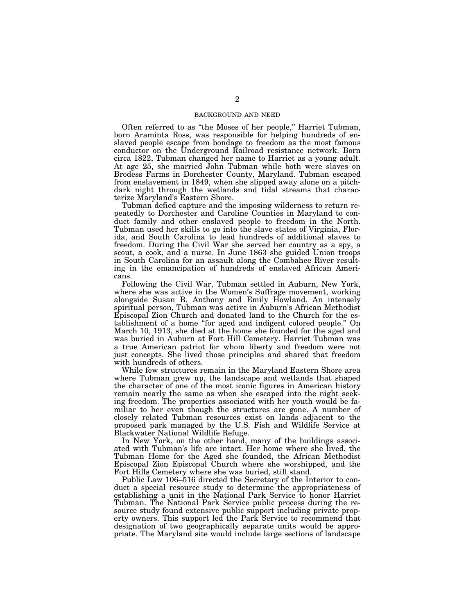#### BACKGROUND AND NEED

Often referred to as ''the Moses of her people,'' Harriet Tubman, born Araminta Ross, was responsible for helping hundreds of enslaved people escape from bondage to freedom as the most famous conductor on the Underground Railroad resistance network. Born circa 1822, Tubman changed her name to Harriet as a young adult. At age 25, she married John Tubman while both were slaves on Brodess Farms in Dorchester County, Maryland. Tubman escaped from enslavement in 1849, when she slipped away alone on a pitchdark night through the wetlands and tidal streams that characterize Maryland's Eastern Shore.

Tubman defied capture and the imposing wilderness to return repeatedly to Dorchester and Caroline Counties in Maryland to conduct family and other enslaved people to freedom in the North. Tubman used her skills to go into the slave states of Virginia, Florida, and South Carolina to lead hundreds of additional slaves to freedom. During the Civil War she served her country as a spy, a scout, a cook, and a nurse. In June 1863 she guided Union troops in South Carolina for an assault along the Combahee River resulting in the emancipation of hundreds of enslaved African Americans.

Following the Civil War, Tubman settled in Auburn, New York, where she was active in the Women's Suffrage movement, working alongside Susan B. Anthony and Emily Howland. An intensely spiritual person, Tubman was active in Auburn's African Methodist Episcopal Zion Church and donated land to the Church for the establishment of a home ''for aged and indigent colored people.'' On March 10, 1913, she died at the home she founded for the aged and was buried in Auburn at Fort Hill Cemetery. Harriet Tubman was a true American patriot for whom liberty and freedom were not just concepts. She lived those principles and shared that freedom with hundreds of others.

While few structures remain in the Maryland Eastern Shore area where Tubman grew up, the landscape and wetlands that shaped the character of one of the most iconic figures in American history remain nearly the same as when she escaped into the night seeking freedom. The properties associated with her youth would be familiar to her even though the structures are gone. A number of closely related Tubman resources exist on lands adjacent to the proposed park managed by the U.S. Fish and Wildlife Service at Blackwater National Wildlife Refuge.

In New York, on the other hand, many of the buildings associated with Tubman's life are intact. Her home where she lived, the Tubman Home for the Aged she founded, the African Methodist Episcopal Zion Episcopal Church where she worshipped, and the Fort Hills Cemetery where she was buried, still stand.

Public Law 106–516 directed the Secretary of the Interior to conduct a special resource study to determine the appropriateness of establishing a unit in the National Park Service to honor Harriet Tubman. The National Park Service public process during the resource study found extensive public support including private property owners. This support led the Park Service to recommend that designation of two geographically separate units would be appropriate. The Maryland site would include large sections of landscape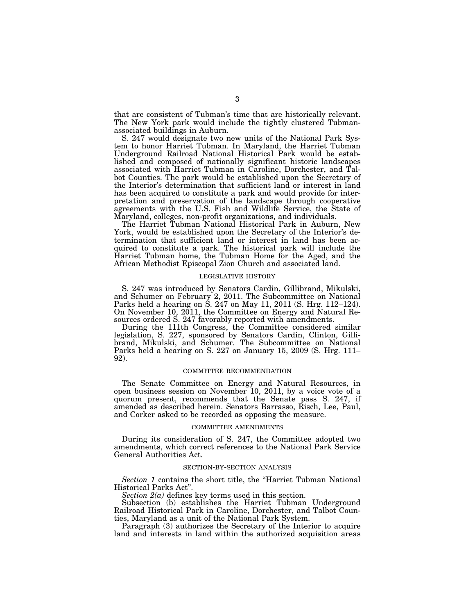that are consistent of Tubman's time that are historically relevant. The New York park would include the tightly clustered Tubmanassociated buildings in Auburn.

S. 247 would designate two new units of the National Park System to honor Harriet Tubman. In Maryland, the Harriet Tubman Underground Railroad National Historical Park would be established and composed of nationally significant historic landscapes associated with Harriet Tubman in Caroline, Dorchester, and Talbot Counties. The park would be established upon the Secretary of the Interior's determination that sufficient land or interest in land has been acquired to constitute a park and would provide for interpretation and preservation of the landscape through cooperative agreements with the U.S. Fish and Wildlife Service, the State of Maryland, colleges, non-profit organizations, and individuals.

The Harriet Tubman National Historical Park in Auburn, New York, would be established upon the Secretary of the Interior's determination that sufficient land or interest in land has been acquired to constitute a park. The historical park will include the Harriet Tubman home, the Tubman Home for the Aged, and the African Methodist Episcopal Zion Church and associated land.

#### LEGISLATIVE HISTORY

S. 247 was introduced by Senators Cardin, Gillibrand, Mikulski, and Schumer on February 2, 2011. The Subcommittee on National Parks held a hearing on S. 247 on May 11, 2011 (S. Hrg. 112–124). On November 10, 2011, the Committee on Energy and Natural Resources ordered S. 247 favorably reported with amendments.

During the 111th Congress, the Committee considered similar legislation, S. 227, sponsored by Senators Cardin, Clinton, Gillibrand, Mikulski, and Schumer. The Subcommittee on National Parks held a hearing on S. 227 on January 15, 2009 (S. Hrg. 111– 92).

#### COMMITTEE RECOMMENDATION

The Senate Committee on Energy and Natural Resources, in open business session on November 10, 2011, by a voice vote of a quorum present, recommends that the Senate pass S. 247, if amended as described herein. Senators Barrasso, Risch, Lee, Paul, and Corker asked to be recorded as opposing the measure.

#### COMMITTEE AMENDMENTS

During its consideration of S. 247, the Committee adopted two amendments, which correct references to the National Park Service General Authorities Act.

#### SECTION-BY-SECTION ANALYSIS

*Section 1* contains the short title, the ''Harriet Tubman National Historical Parks Act''.

*Section 2(a)* defines key terms used in this section.

Subsection (b) establishes the Harriet Tubman Underground Railroad Historical Park in Caroline, Dorchester, and Talbot Counties, Maryland as a unit of the National Park System.

Paragraph (3) authorizes the Secretary of the Interior to acquire land and interests in land within the authorized acquisition areas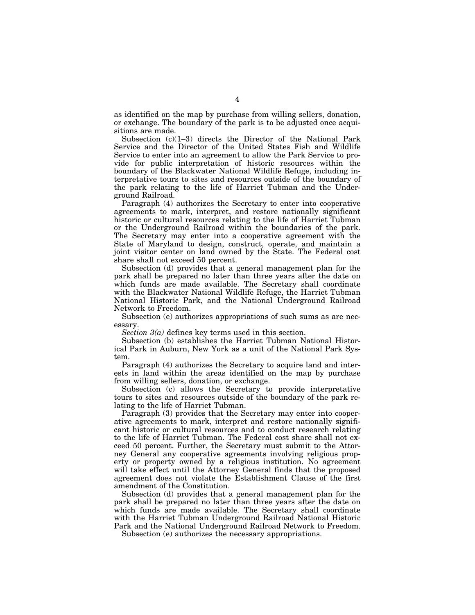as identified on the map by purchase from willing sellers, donation, or exchange. The boundary of the park is to be adjusted once acquisitions are made.

Subsection  $(c)(1-3)$  directs the Director of the National Park Service and the Director of the United States Fish and Wildlife Service to enter into an agreement to allow the Park Service to provide for public interpretation of historic resources within the boundary of the Blackwater National Wildlife Refuge, including interpretative tours to sites and resources outside of the boundary of the park relating to the life of Harriet Tubman and the Underground Railroad.

Paragraph (4) authorizes the Secretary to enter into cooperative agreements to mark, interpret, and restore nationally significant historic or cultural resources relating to the life of Harriet Tubman or the Underground Railroad within the boundaries of the park. The Secretary may enter into a cooperative agreement with the State of Maryland to design, construct, operate, and maintain a joint visitor center on land owned by the State. The Federal cost share shall not exceed 50 percent.

Subsection (d) provides that a general management plan for the park shall be prepared no later than three years after the date on which funds are made available. The Secretary shall coordinate with the Blackwater National Wildlife Refuge, the Harriet Tubman National Historic Park, and the National Underground Railroad Network to Freedom.

Subsection (e) authorizes appropriations of such sums as are necessary.

*Section 3(a)* defines key terms used in this section.

Subsection (b) establishes the Harriet Tubman National Historical Park in Auburn, New York as a unit of the National Park System.

Paragraph (4) authorizes the Secretary to acquire land and interests in land within the areas identified on the map by purchase from willing sellers, donation, or exchange.

Subsection (c) allows the Secretary to provide interpretative tours to sites and resources outside of the boundary of the park relating to the life of Harriet Tubman.

Paragraph (3) provides that the Secretary may enter into cooperative agreements to mark, interpret and restore nationally significant historic or cultural resources and to conduct research relating to the life of Harriet Tubman. The Federal cost share shall not exceed 50 percent. Further, the Secretary must submit to the Attorney General any cooperative agreements involving religious property or property owned by a religious institution. No agreement will take effect until the Attorney General finds that the proposed agreement does not violate the Establishment Clause of the first amendment of the Constitution.

Subsection (d) provides that a general management plan for the park shall be prepared no later than three years after the date on which funds are made available. The Secretary shall coordinate with the Harriet Tubman Underground Railroad National Historic Park and the National Underground Railroad Network to Freedom.

Subsection (e) authorizes the necessary appropriations.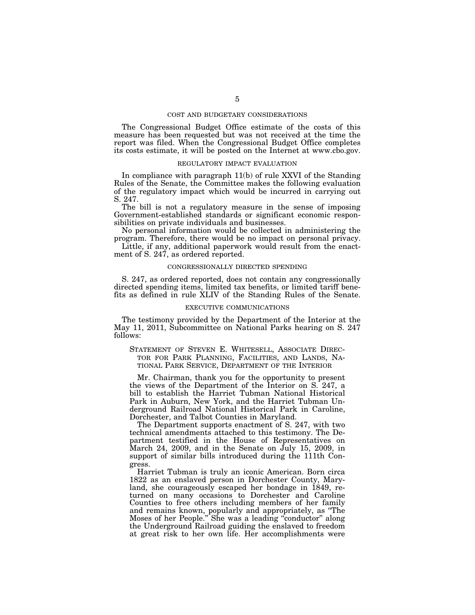#### COST AND BUDGETARY CONSIDERATIONS

The Congressional Budget Office estimate of the costs of this measure has been requested but was not received at the time the report was filed. When the Congressional Budget Office completes its costs estimate, it will be posted on the Internet at www.cbo.gov.

#### REGULATORY IMPACT EVALUATION

In compliance with paragraph 11(b) of rule XXVI of the Standing Rules of the Senate, the Committee makes the following evaluation of the regulatory impact which would be incurred in carrying out S. 247.

The bill is not a regulatory measure in the sense of imposing Government-established standards or significant economic responsibilities on private individuals and businesses.

No personal information would be collected in administering the program. Therefore, there would be no impact on personal privacy.

Little, if any, additional paperwork would result from the enactment of S. 247, as ordered reported.

#### CONGRESSIONALLY DIRECTED SPENDING

S. 247, as ordered reported, does not contain any congressionally directed spending items, limited tax benefits, or limited tariff benefits as defined in rule XLIV of the Standing Rules of the Senate.

#### EXECUTIVE COMMUNICATIONS

The testimony provided by the Department of the Interior at the May 11, 2011, Subcommittee on National Parks hearing on S. 247 follows:

### STATEMENT OF STEVEN E. WHITESELL, ASSOCIATE DIREC-TOR FOR PARK PLANNING, FACILITIES, AND LANDS, NA-TIONAL PARK SERVICE, DEPARTMENT OF THE INTERIOR

Mr. Chairman, thank you for the opportunity to present the views of the Department of the Interior on S. 247, a bill to establish the Harriet Tubman National Historical Park in Auburn, New York, and the Harriet Tubman Underground Railroad National Historical Park in Caroline, Dorchester, and Talbot Counties in Maryland.

The Department supports enactment of S. 247, with two technical amendments attached to this testimony. The Department testified in the House of Representatives on March 24, 2009, and in the Senate on July 15, 2009, in support of similar bills introduced during the 111th Congress.

Harriet Tubman is truly an iconic American. Born circa 1822 as an enslaved person in Dorchester County, Maryland, she courageously escaped her bondage in 1849, returned on many occasions to Dorchester and Caroline Counties to free others including members of her family and remains known, popularly and appropriately, as ''The Moses of her People.'' She was a leading ''conductor'' along the Underground Railroad guiding the enslaved to freedom at great risk to her own life. Her accomplishments were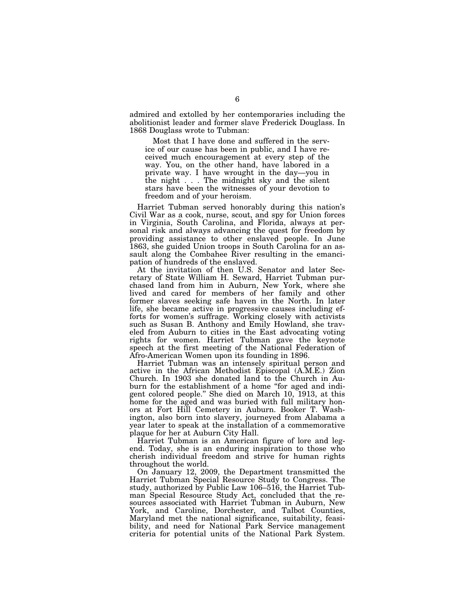admired and extolled by her contemporaries including the abolitionist leader and former slave Frederick Douglass. In 1868 Douglass wrote to Tubman:

Most that I have done and suffered in the service of our cause has been in public, and I have received much encouragement at every step of the way. You, on the other hand, have labored in a private way. I have wrought in the day—you in the night . . . The midnight sky and the silent stars have been the witnesses of your devotion to freedom and of your heroism.

Harriet Tubman served honorably during this nation's Civil War as a cook, nurse, scout, and spy for Union forces in Virginia, South Carolina, and Florida, always at personal risk and always advancing the quest for freedom by providing assistance to other enslaved people. In June 1863, she guided Union troops in South Carolina for an assault along the Combahee River resulting in the emancipation of hundreds of the enslaved.

At the invitation of then U.S. Senator and later Secretary of State William H. Seward, Harriet Tubman purchased land from him in Auburn, New York, where she lived and cared for members of her family and other former slaves seeking safe haven in the North. In later life, she became active in progressive causes including efforts for women's suffrage. Working closely with activists such as Susan B. Anthony and Emily Howland, she traveled from Auburn to cities in the East advocating voting rights for women. Harriet Tubman gave the keynote speech at the first meeting of the National Federation of Afro-American Women upon its founding in 1896.

Harriet Tubman was an intensely spiritual person and active in the African Methodist Episcopal (A.M.E.) Zion Church. In 1903 she donated land to the Church in Auburn for the establishment of a home "for aged and indigent colored people.'' She died on March 10, 1913, at this home for the aged and was buried with full military honors at Fort Hill Cemetery in Auburn. Booker T. Washington, also born into slavery, journeyed from Alabama a year later to speak at the installation of a commemorative plaque for her at Auburn City Hall.

Harriet Tubman is an American figure of lore and legend. Today, she is an enduring inspiration to those who cherish individual freedom and strive for human rights throughout the world.

On January 12, 2009, the Department transmitted the Harriet Tubman Special Resource Study to Congress. The study, authorized by Public Law 106–516, the Harriet Tubman Special Resource Study Act, concluded that the resources associated with Harriet Tubman in Auburn, New York, and Caroline, Dorchester, and Talbot Counties, Maryland met the national significance, suitability, feasibility, and need for National Park Service management criteria for potential units of the National Park System.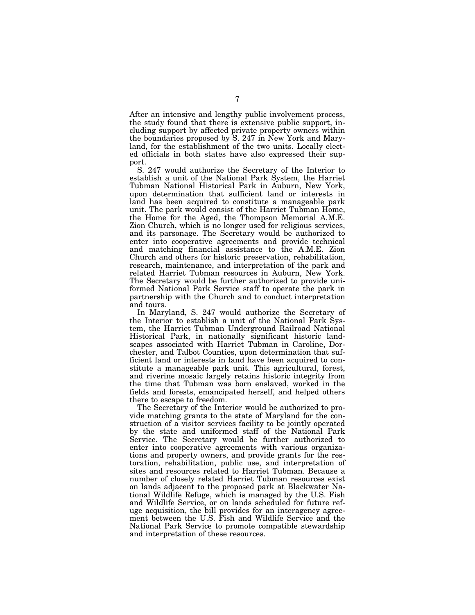After an intensive and lengthy public involvement process, the study found that there is extensive public support, including support by affected private property owners within the boundaries proposed by S. 247 in New York and Maryland, for the establishment of the two units. Locally elected officials in both states have also expressed their support.

S. 247 would authorize the Secretary of the Interior to establish a unit of the National Park System, the Harriet Tubman National Historical Park in Auburn, New York, upon determination that sufficient land or interests in land has been acquired to constitute a manageable park unit. The park would consist of the Harriet Tubman Home, the Home for the Aged, the Thompson Memorial A.M.E. Zion Church, which is no longer used for religious services, and its parsonage. The Secretary would be authorized to enter into cooperative agreements and provide technical and matching financial assistance to the A.M.E. Zion Church and others for historic preservation, rehabilitation, research, maintenance, and interpretation of the park and related Harriet Tubman resources in Auburn, New York. The Secretary would be further authorized to provide uniformed National Park Service staff to operate the park in partnership with the Church and to conduct interpretation and tours.

In Maryland, S. 247 would authorize the Secretary of the Interior to establish a unit of the National Park System, the Harriet Tubman Underground Railroad National Historical Park, in nationally significant historic landscapes associated with Harriet Tubman in Caroline, Dorchester, and Talbot Counties, upon determination that sufficient land or interests in land have been acquired to constitute a manageable park unit. This agricultural, forest, and riverine mosaic largely retains historic integrity from the time that Tubman was born enslaved, worked in the fields and forests, emancipated herself, and helped others there to escape to freedom.

The Secretary of the Interior would be authorized to provide matching grants to the state of Maryland for the construction of a visitor services facility to be jointly operated by the state and uniformed staff of the National Park Service. The Secretary would be further authorized to enter into cooperative agreements with various organizations and property owners, and provide grants for the restoration, rehabilitation, public use, and interpretation of sites and resources related to Harriet Tubman. Because a number of closely related Harriet Tubman resources exist on lands adjacent to the proposed park at Blackwater National Wildlife Refuge, which is managed by the U.S. Fish and Wildlife Service, or on lands scheduled for future refuge acquisition, the bill provides for an interagency agreement between the U.S. Fish and Wildlife Service and the National Park Service to promote compatible stewardship and interpretation of these resources.